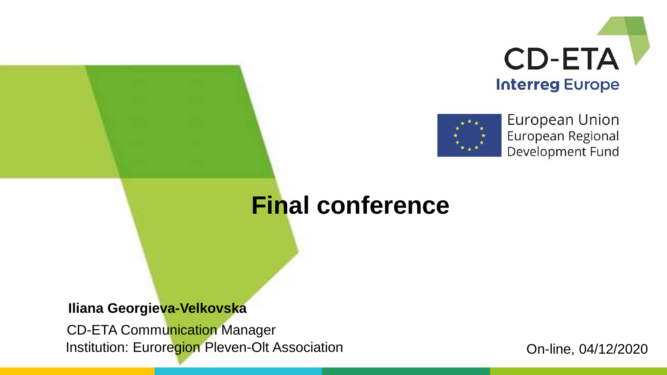



**European Union** European Regional Development Fund

# **Final conference**

#### **Iliana Georgieva-Velkovska**

CD-ETA Communication Manager Institution: Euroregion Pleven-Olt Association **Contact Con-line, 04/12/2020**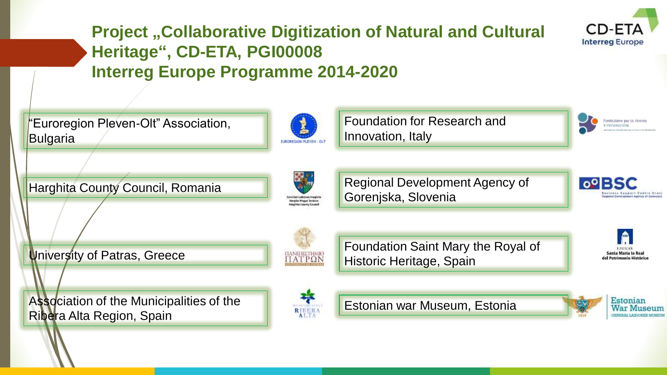### **Project "Collaborative Digitization of Natural and Cultural Heritage", CD-ETA, PGI00008 Interreg Europe Programme 2014-2020**

Bulgaria

"Euroregion Pleven-Olt" Association,



Harghita County Council, Romania



Regional Development Agency of Gorenjska, Slovenia

Foundation for Research and

Innovation, Italy

 $|00135|$ 

**Interreg Europe** 

University of Patras, Greece



Foundation Saint Mary the Royal of Historic Heritage, Spain

Association of the Municipalities of the Ribera Alta Region, Spain



Estonian war Museum, Estonia



Estonian War Museum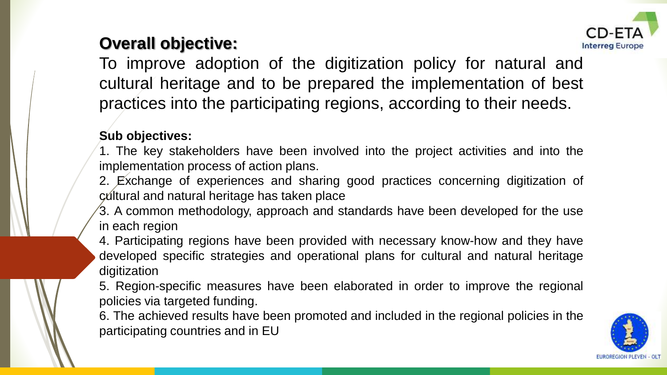

## **Overall objective:**

To improve adoption of the digitization policy for natural and cultural heritage and to be prepared the implementation of best practices into the participating regions, according to their needs.

#### **Sub objectives:**

- 1. The key stakeholders have been involved into the project activities and into the implementation process of action plans.
- 2. Exchange of experiences and sharing good practices concerning digitization of cultural and natural heritage has taken place
- 3. A common methodology, approach and standards have been developed for the use in each region
- 4. Participating regions have been provided with necessary know-how and they have developed specific strategies and operational plans for cultural and natural heritage digitization
- 5. Region-specific measures have been elaborated in order to improve the regional policies via targeted funding.

6. The achieved results have been promoted and included in the regional policies in the participating countries and in EU

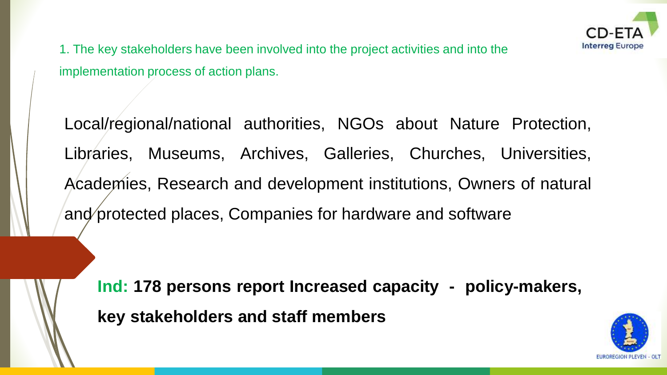

1. The key stakeholders have been involved into the project activities and into the implementation process of action plans.

Local/regional/national authorities, NGOs about Nature Protection, Libraries, Museums, Archives, Galleries, Churches, Universities, Academies, Research and development institutions, Owners of natural and protected places, Companies for hardware and software

**Ind: 178 persons report Increased capacity - policy-makers, key stakeholders and staff members**

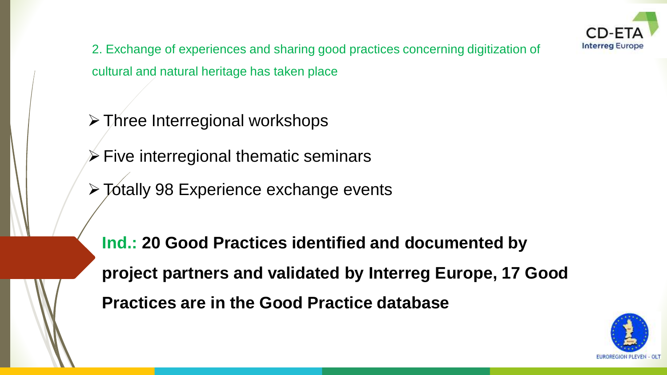

2. Exchange of experiences and sharing good practices concerning digitization of cultural and natural heritage has taken place

Three Interregional workshops

 $\triangleright$  Five interregional thematic seminars

▶ Totally 98 Experience exchange events

**Ind.: 20 Good Practices identified and documented by project partners and validated by Interreg Europe, 17 Good Practices are in the Good Practice database**

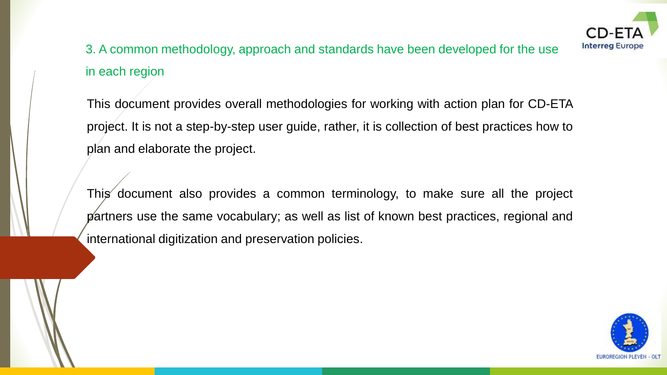

3. A common methodology, approach and standards have been developed for the use in each region

This document provides overall methodologies for working with action plan for CD-ETA project. It is not a step-by-step user guide, rather, it is collection of best practices how to plan and elaborate the project.

This document also provides a common terminology, to make sure all the project partners use the same vocabulary; as well as list of known best practices, regional and international digitization and preservation policies.

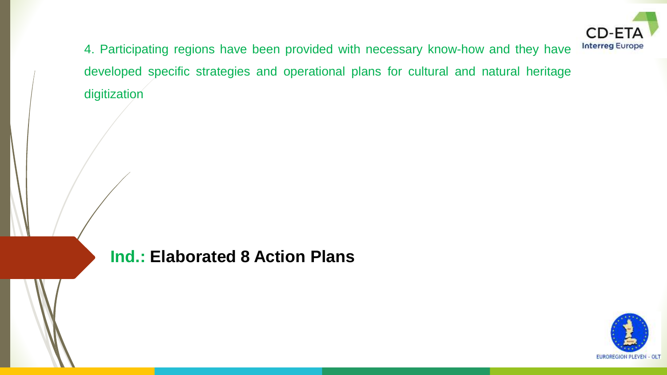

4. Participating regions have been provided with necessary know-how and they have developed specific strategies and operational plans for cultural and natural heritage digitization

#### **Ind.: Elaborated 8 Action Plans**

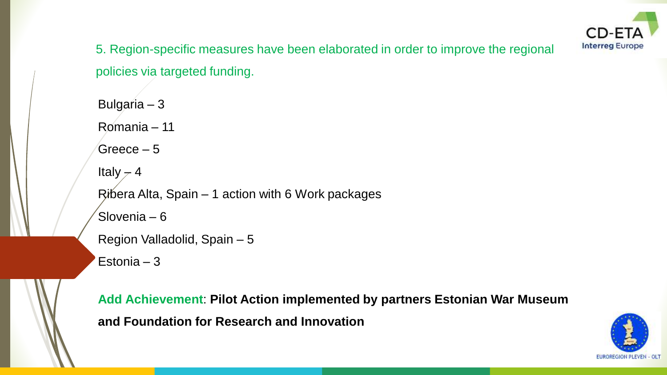

5. Region-specific measures have been elaborated in order to improve the regional policies via targeted funding.

```
Bulgaria – 3
Romania – 11
Greece – 5
Italy \sim 4
Ribera Alta, Spain – 1 action with 6 Work packages
Slovenia – 6
Region Valladolid, Spain – 5
```

```
Estonia – 3
```


**Add Achievement**: **Pilot Action implemented by partners Estonian War Museum and Foundation for Research and Innovation** 

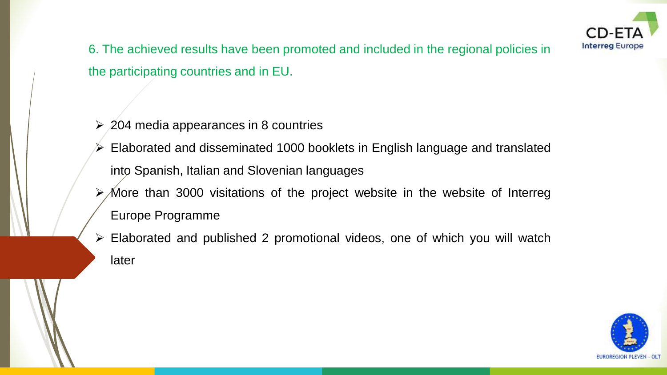

6. The achieved results have been promoted and included in the regional policies in the participating countries and in EU.

- $\geq$  204 media appearances in 8 countries
- $\triangleright$  Elaborated and disseminated 1000 booklets in English language and translated into Spanish, Italian and Slovenian languages
- More than 3000 visitations of the project website in the website of Interreg Europe Programme
- Elaborated and published 2 promotional videos, one of which you will watch later

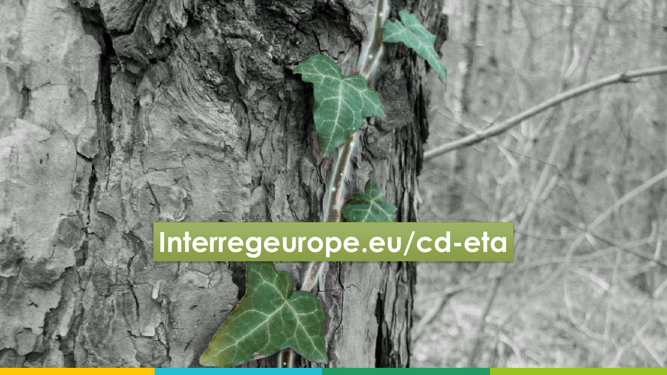# **Interregeurope.eu/cd-eta**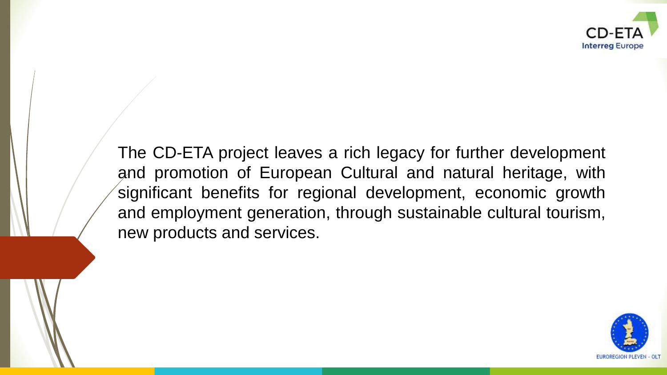

The CD-ETA project leaves a rich legacy for further development and promotion of European Cultural and natural heritage, with significant benefits for regional development, economic growth and employment generation, through sustainable cultural tourism, new products and services.